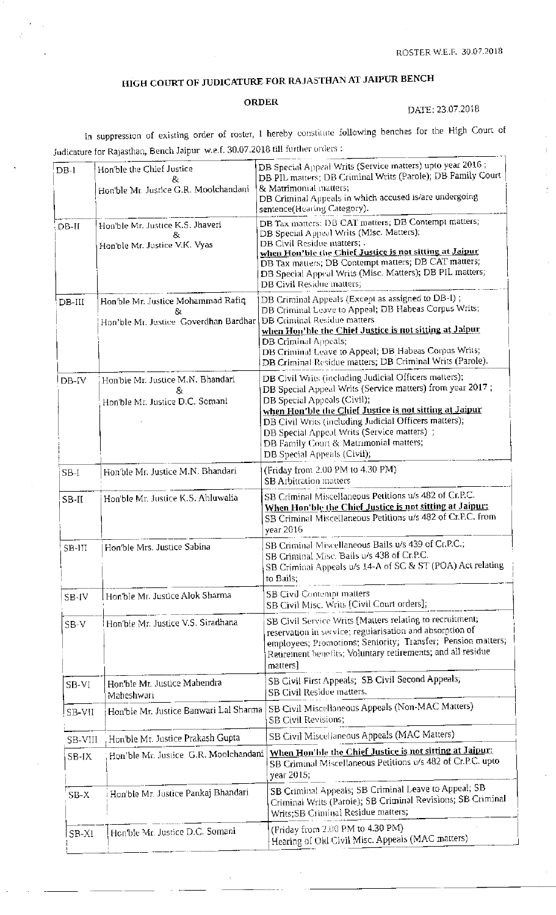## HIGH COURT OF JUDICATURE FOR RAJASTHAN AT JAIPUR BENCH

## **ORDER**

## DATE: 23.07.2018

 $\frac{1}{2}$ 

In suppression of existing order of roster, I hereby constitute following benches for the High Court of Judicature for Rajasthan, Bench Jaipur w.e.f. 30.07.2018 till forther orders :

| $DB-1$   | Hon'ble the Chief Justice<br>&<br>Hon'ble Mr. Justice G.R. Moolchandani<br>Hon'ble Mr. Justice K.S. Jhaveri<br>& | DB Special Appeal Writs (Service matters) upto year 2016;<br>DB PIL matters; DB Criminal Writs (Parole); DB Family Court<br>& Matrimonial matters;<br>DB Criminal Appeals in which accused is/are undergoing<br>sentence(Hearing Category).                                                                                                                                                          |
|----------|------------------------------------------------------------------------------------------------------------------|------------------------------------------------------------------------------------------------------------------------------------------------------------------------------------------------------------------------------------------------------------------------------------------------------------------------------------------------------------------------------------------------------|
| $DB-II$  |                                                                                                                  |                                                                                                                                                                                                                                                                                                                                                                                                      |
|          | Hon'ble Mr. Justice V.K. Vyas                                                                                    | DB Tax matters: DB CAT matters; DB Contempt matters;<br>DB Special Appeal Writs (Misc. Matters);<br>DB Civil Residue matters; .<br>when Hon'ble the Chief Justice is not sitting at Jaipur<br>DB Tax matters; DB Contempt matters; DB CAT matters;<br>DB Special Appeal Writs (Misc. Matters); DB PIL matters;<br>DB Civil Residue matters;                                                          |
| $DB-III$ | Hon'ble Mr. Justice Mohammad Rafiq<br>Hon'ble Mr. Justice Goverdhan Bardhar                                      | DB Criminal Appeals (Except as assigned to DB-I);<br>DB Criminal Leave to Appeal; DB Habeas Corpus Writs;<br><b>DB Criminal Residue matters</b><br>when Hon'ble the Chief Justice is not sitting at Jaipur<br>DB Criminal Appeals;<br>DB Criminal Leave to Appeal; DB Habeas Corpus Writs;<br>DB Criminal Residue matters; DB Criminal Writs (Parole).                                               |
| DB-IV    | Hon'ble Mr. Justice M.N. Bhandari<br>87<br>Hon'ble Mr. Justice D.C. Somani                                       | DB Civil Writs (including Judicial Officers matters);<br>DB Special Appeal Writs (Service matters) from year 2017;<br>DB Special Appeals (Civil);<br>when Hon'ble the Chief Justice is not sitting at Jaipur<br>DB Civil Writs (including Judicial Officers matters);<br>DB Special Appeal Writs (Service matters) ;<br>DB Family Court & Matrimonial matters;<br><b>DB</b> Special Appeals (Civil); |
| $SB-I$   | Hon'ble Mr. Justice M.N. Bhandari                                                                                | (Friday from 2.00 PM to 4.30 PM)<br>SB Arbitration matters                                                                                                                                                                                                                                                                                                                                           |
| SB-II    | Hon'ble Mr. Justice K.S. Ahluwalia                                                                               | SB Criminal Miscellaneous Petitions u/s 482 of Cr.P.C.<br>When Hon'ble the Chief Justice is not sitting at Jaipur:<br>SB Criminal Miscellaneous Petitions u/s 482 of Cr.P.C. from<br>vear 2016                                                                                                                                                                                                       |
| SB-III   | Hon'ble Mrs. Justice Sabina                                                                                      | SB Criminal Miscellaneous Bails u/s 439 of Cr.P.C.;<br>SB Criminal Misc. Bails u/s 438 of Cr.P.C.<br>SB Criminal Appeals u/s 14-A of SC & ST (POA) Act relating<br>to Bails;                                                                                                                                                                                                                         |
| SB-IV    | Hon'ble Mr. Justice Alok Sharma                                                                                  | <b>SB Civil Contempt matters</b><br>SB Civil Misc. Writs [Civil Court orders];                                                                                                                                                                                                                                                                                                                       |
| $SB-V$   | Hon'ble Mr. Justice V.S. Siradhana                                                                               | SB Civil Service Writs [Matters relating to recruitment;<br>reservation in service; regularisation and absorption of<br>employees; Promotions; Seniority; Transfer; Pension matters;<br>Retirement benefits; Voluntary retirements; and all residue<br>matters]                                                                                                                                      |
| SB-VI    | Hon'ble Mr. Justice Mahendra<br>Maheshwari                                                                       | SB Civil First Appeals; SB Civil Second Appeals;<br>SB Civil Residue matters.                                                                                                                                                                                                                                                                                                                        |
| SB-VII   | Hon'ble Mr. Justice Banwari Lal Sharma                                                                           | SB Civil Miscellaneous Appeals (Non-MAC Matters)<br>SB Civil Revisions;                                                                                                                                                                                                                                                                                                                              |
| SB-VIII  | Hon'ble Mr. Justice Prakash Gupta                                                                                | SB Civil Miscellaneous Appeals (MAC Matters)                                                                                                                                                                                                                                                                                                                                                         |
| SB-IX    | Hon'ble Mr. Justice G.R. Moolchandani                                                                            | When Hon'ble the Chief Justice is not sitting at Jaipur:<br>SB Criminal Miscellaneous Petitions u/s 482 of Cr.P.C. upto<br>year 2015;                                                                                                                                                                                                                                                                |
| $SB-X$   | Hon'ble Mr. Justice Pankaj Bhandari                                                                              | SB Criminal Appeals; SB Criminal Leave to Appeal; SB<br>Criminal Writs (Parole); SB Criminal Revisions; SB Criminal<br>Writs;SB Criminal Residue matters;                                                                                                                                                                                                                                            |
| SB-XI    | Hen'ble Mr. Justice D.C. Somani                                                                                  | (Friday from 2.00 PM to 4.30 PM)<br>Hearing of Old Civil Misc. Appeals (MAC matters)                                                                                                                                                                                                                                                                                                                 |